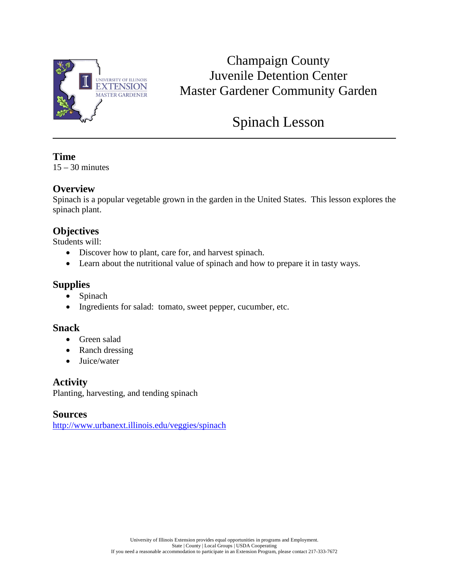

# Champaign County Juvenile Detention Center Master Gardener Community Garden

# Spinach Lesson

## **Time**

 $15 - 30$  minutes

## **Overview**

Spinach is a popular vegetable grown in the garden in the United States. This lesson explores the spinach plant.

## **Objectives**

Students will:

- Discover how to plant, care for, and harvest spinach.
- Learn about the nutritional value of spinach and how to prepare it in tasty ways.

## **Supplies**

- Spinach
- Ingredients for salad: tomato, sweet pepper, cucumber, etc.

### **Snack**

- Green salad
- Ranch dressing
- Juice/water

**Activity** Planting, harvesting, and tending spinach

**Sources**

<http://www.urbanext.illinois.edu/veggies/spinach>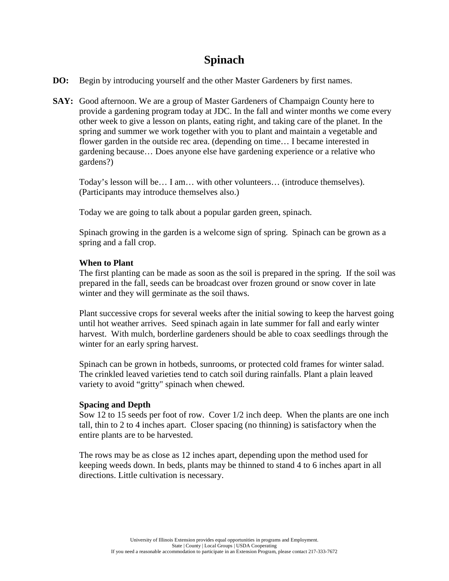## **Spinach**

- **DO:** Begin by introducing yourself and the other Master Gardeners by first names.
- **SAY:** Good afternoon. We are a group of Master Gardeners of Champaign County here to provide a gardening program today at JDC. In the fall and winter months we come every other week to give a lesson on plants, eating right, and taking care of the planet. In the spring and summer we work together with you to plant and maintain a vegetable and flower garden in the outside rec area. (depending on time… I became interested in gardening because… Does anyone else have gardening experience or a relative who gardens?)

Today's lesson will be… I am… with other volunteers… (introduce themselves). (Participants may introduce themselves also.)

Today we are going to talk about a popular garden green, spinach.

Spinach growing in the garden is a welcome sign of spring. Spinach can be grown as a spring and a fall crop.

### **When to Plant**

The first planting can be made as soon as the soil is prepared in the spring. If the soil was prepared in the fall, seeds can be broadcast over frozen ground or snow cover in late winter and they will germinate as the soil thaws.

Plant successive crops for several weeks after the initial sowing to keep the harvest going until hot weather arrives. Seed spinach again in late summer for fall and early winter harvest. With mulch, borderline gardeners should be able to coax seedlings through the winter for an early spring harvest.

Spinach can be grown in hotbeds, sunrooms, or protected cold frames for winter salad. The crinkled leaved varieties tend to catch soil during rainfalls. Plant a plain leaved variety to avoid "gritty" spinach when chewed.

### **Spacing and Depth**

Sow 12 to 15 seeds per foot of row. Cover 1/2 inch deep. When the plants are one inch tall, thin to 2 to 4 inches apart. Closer spacing (no thinning) is satisfactory when the entire plants are to be harvested.

The rows may be as close as 12 inches apart, depending upon the method used for keeping weeds down. In beds, plants may be thinned to stand 4 to 6 inches apart in all directions. Little cultivation is necessary.